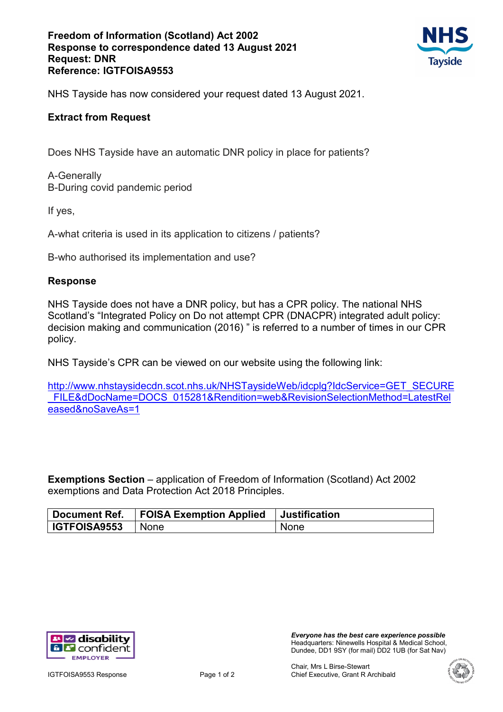### **Freedom of Information (Scotland) Act 2002 Response to correspondence dated 13 August 2021 Request: DNR Reference: IGTFOISA9553**



NHS Tayside has now considered your request dated 13 August 2021.

# **Extract from Request**

Does NHS Tayside have an automatic DNR policy in place for patients?

A-Generally B-During covid pandemic period

If yes,

A-what criteria is used in its application to citizens / patients?

B-who authorised its implementation and use?

### **Response**

NHS Tayside does not have a DNR policy, but has a CPR policy. The national NHS Scotland's "Integrated Policy on Do not attempt CPR (DNACPR) integrated adult policy: decision making and communication (2016) " is referred to a number of times in our CPR policy.

NHS Tayside's CPR can be viewed on our website using the following link:

[http://www.nhstaysidecdn.scot.nhs.uk/NHSTaysideWeb/idcplg?IdcService=GET\\_SECURE](http://www.nhstaysidecdn.scot.nhs.uk/NHSTaysideWeb/idcplg?IdcService=GET_SECURE_FILE&dDocName=DOCS_015281&Rendition=web&RevisionSelectionMethod=LatestReleased&noSaveAs=1) FILE&dDocName=DOCS\_015281&Rendition=web&RevisionSelectionMethod=LatestRel [eased&noSaveAs=1](http://www.nhstaysidecdn.scot.nhs.uk/NHSTaysideWeb/idcplg?IdcService=GET_SECURE_FILE&dDocName=DOCS_015281&Rendition=web&RevisionSelectionMethod=LatestReleased&noSaveAs=1)

**Exemptions Section** – application of Freedom of Information (Scotland) Act 2002 exemptions and Data Protection Act 2018 Principles.

| <sup>'</sup> Document Ref. | <b>FOISA Exemption Applied</b> | <b>Justification</b> |
|----------------------------|--------------------------------|----------------------|
| <b>IGTFOISA9553</b>        | l Nonel                        | None                 |



*Everyone has the best care experience possible* Headquarters: Ninewells Hospital & Medical School, Dundee, DD1 9SY (for mail) DD2 1UB (for Sat Nav)